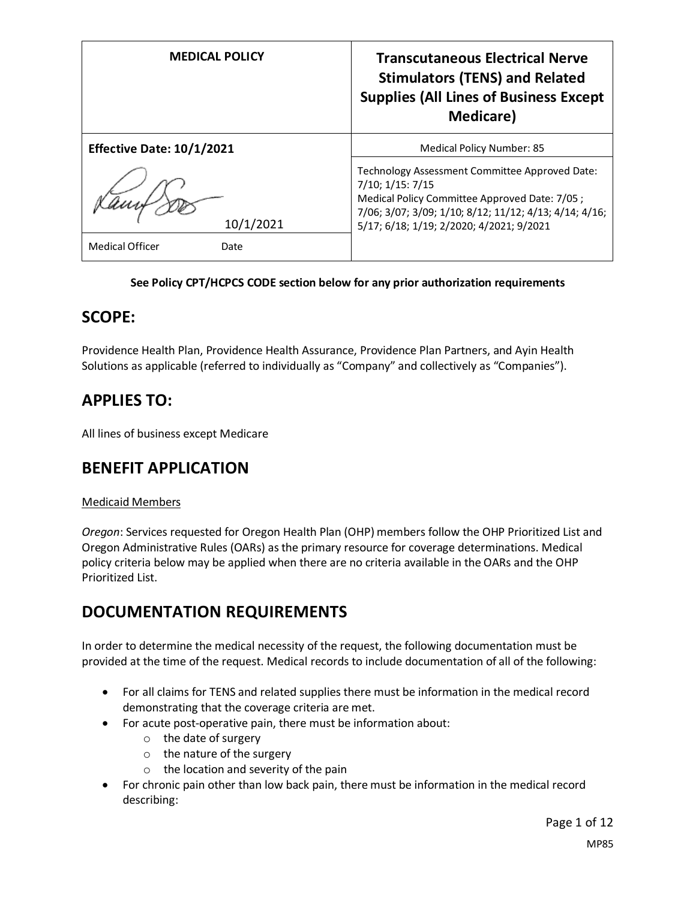| <b>MEDICAL POLICY</b>            | <b>Transcutaneous Electrical Nerve</b><br><b>Stimulators (TENS) and Related</b><br><b>Supplies (All Lines of Business Except</b><br><b>Medicare</b> )                                                                     |
|----------------------------------|---------------------------------------------------------------------------------------------------------------------------------------------------------------------------------------------------------------------------|
| <b>Effective Date: 10/1/2021</b> | <b>Medical Policy Number: 85</b>                                                                                                                                                                                          |
| 10/1/2021                        | Technology Assessment Committee Approved Date:<br>7/10; 1/15: 7/15<br>Medical Policy Committee Approved Date: 7/05;<br>7/06; 3/07; 3/09; 1/10; 8/12; 11/12; 4/13; 4/14; 4/16;<br>5/17; 6/18; 1/19; 2/2020; 4/2021; 9/2021 |
| <b>Medical Officer</b><br>Date   |                                                                                                                                                                                                                           |

### **See Policy CPT/HCPCS CODE section below for any prior authorization requirements**

## **SCOPE:**

Providence Health Plan, Providence Health Assurance, Providence Plan Partners, and Ayin Health Solutions as applicable (referred to individually as "Company" and collectively as "Companies").

## **APPLIES TO:**

All lines of business except Medicare

## **BENEFIT APPLICATION**

### Medicaid Members

*Oregon*: Services requested for Oregon Health Plan (OHP) members follow the OHP Prioritized List and Oregon Administrative Rules (OARs) as the primary resource for coverage determinations. Medical policy criteria below may be applied when there are no criteria available in the OARs and the OHP Prioritized List.

# **DOCUMENTATION REQUIREMENTS**

In order to determine the medical necessity of the request, the following documentation must be provided at the time of the request. Medical records to include documentation of all of the following:

- For all claims for TENS and related supplies there must be information in the medical record demonstrating that the coverage criteria are met.
- For acute post-operative pain, there must be information about:
	- o the date of surgery
	- o the nature of the surgery
	- $\circ$  the location and severity of the pain
- For chronic pain other than low back pain, there must be information in the medical record describing: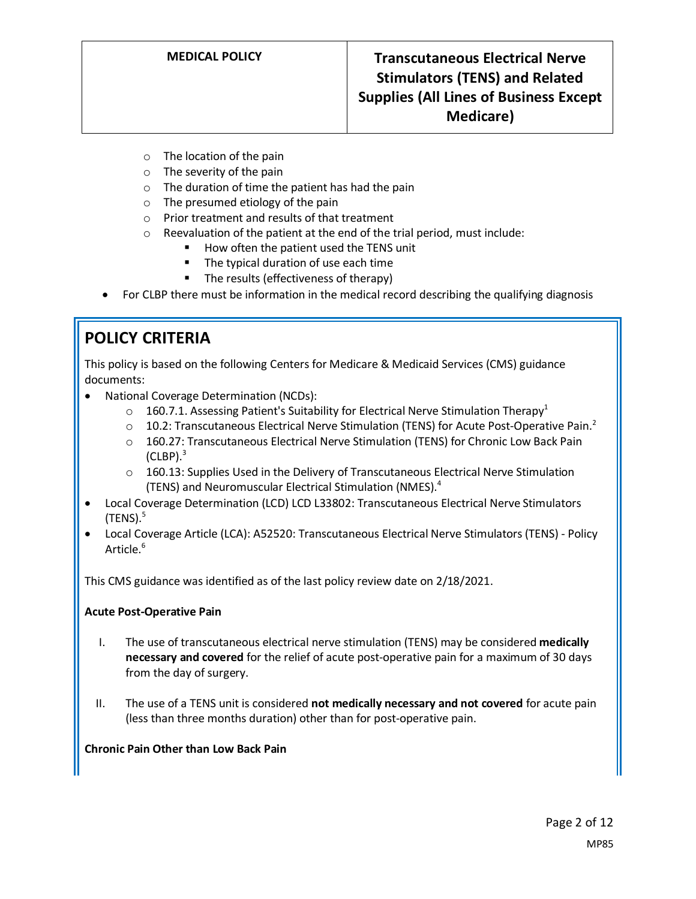- o The location of the pain
- o The severity of the pain
- o The duration of time the patient has had the pain
- $\circ$  The presumed etiology of the pain
- o Prior treatment and results of that treatment
- o Reevaluation of the patient at the end of the trial period, must include:
	- How often the patient used the TENS unit
	- The typical duration of use each time
	- The results (effectiveness of therapy)
- For CLBP there must be information in the medical record describing the qualifying diagnosis

# **POLICY CRITERIA**

This policy is based on the following Centers for Medicare & Medicaid Services (CMS) guidance documents:

- National Coverage Determination (NCDs):
	- $\circ$  160.7.1. Assessing Patient's Suitability for Electrical Nerve Stimulation Therapy<sup>1</sup>
	- $\circ$  10.2: Transcutaneous Electrical Nerve Stimulation (TENS) for Acute Post-Operative Pain.<sup>2</sup>
	- o 160.27: Transcutaneous Electrical Nerve Stimulation (TENS) for Chronic Low Back Pain  $(CLBP).$ <sup>3</sup>
	- $\circ$  160.13: Supplies Used in the Delivery of Transcutaneous Electrical Nerve Stimulation (TENS) and Neuromuscular Electrical Stimulation (NMES).<sup>4</sup>
- Local Coverage Determination (LCD) LCD L33802: Transcutaneous Electrical Nerve Stimulators  $(TENS).<sup>5</sup>$
- Local Coverage Article (LCA): A52520: Transcutaneous Electrical Nerve Stimulators (TENS) Policy Article.<sup>6</sup>

This CMS guidance was identified as of the last policy review date on 2/18/2021.

### **Acute Post-Operative Pain**

- I. The use of transcutaneous electrical nerve stimulation (TENS) may be considered **medically necessary and covered** for the relief of acute post-operative pain for a maximum of 30 days from the day of surgery.
- II. The use of a TENS unit is considered **not medically necessary and not covered** for acute pain (less than three months duration) other than for post-operative pain.

### **Chronic Pain Other than Low Back Pain**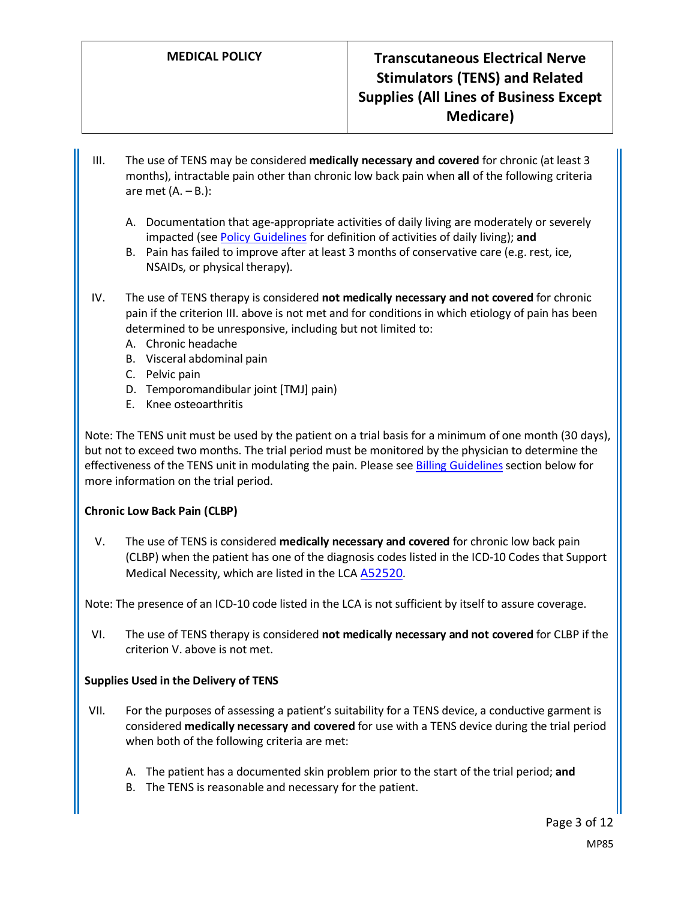- III. The use of TENS may be considered **medically necessary and covered** for chronic (at least 3 months), intractable pain other than chronic low back pain when **all** of the following criteria are met  $(A. - B.):$ 
	- A. Documentation that age-appropriate activities of daily living are moderately or severely impacted (see [Policy Guidelines](#page-3-0) for definition of activities of daily living); **and**
	- B. Pain has failed to improve after at least 3 months of conservative care (e.g. rest, ice, NSAIDs, or physical therapy).
- IV. The use of TENS therapy is considered **not medically necessary and not covered** for chronic pain if the criterion III. above is not met and for conditions in which etiology of pain has been determined to be unresponsive, including but not limited to:
	- A. Chronic headache
	- B. Visceral abdominal pain
	- C. Pelvic pain
	- D. Temporomandibular joint [TMJ] pain)
	- E. Knee osteoarthritis

Note: The TENS unit must be used by the patient on a trial basis for a minimum of one month (30 days), but not to exceed two months. The trial period must be monitored by the physician to determine the effectiveness of the TENS unit in modulating the pain. Please see Billing Guidelines section below for more information on the trial period.

### **Chronic Low Back Pain (CLBP)**

V. The use of TENS is considered **medically necessary and covered** for chronic low back pain (CLBP) when the patient has one of the diagnosis codes listed in the ICD-10 Codes that Support Medical Necessity, which are listed in the LCA [A52520.](https://www.cms.gov/medicare-coverage-database/details/article-details.aspx?articleid=52520)

Note: The presence of an ICD-10 code listed in the LCA is not sufficient by itself to assure coverage.

VI. The use of TENS therapy is considered **not medically necessary and not covered** for CLBP if the criterion V. above is not met.

### **Supplies Used in the Delivery of TENS**

- VII. For the purposes of assessing a patient's suitability for a TENS device, a conductive garment is considered **medically necessary and covered** for use with a TENS device during the trial period when both of the following criteria are met:
	- A. The patient has a documented skin problem prior to the start of the trial period; **and**
	- B. The TENS is reasonable and necessary for the patient.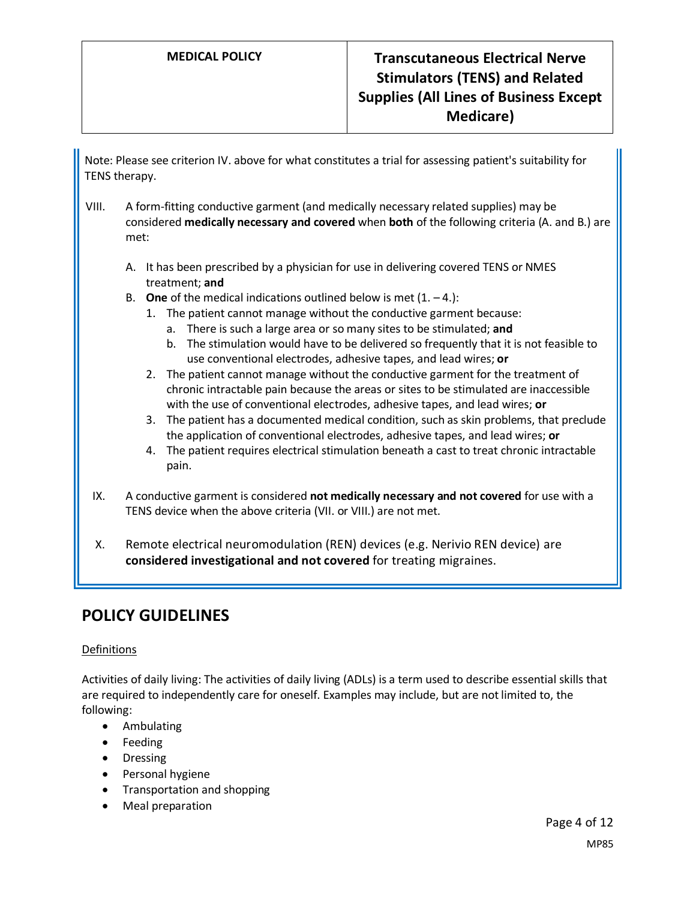# **MEDICAL POLICY Transcutaneous Electrical Nerve Stimulators (TENS) and Related Supplies (All Lines of Business Except Medicare)**

Note: Please see criterion IV. above for what constitutes a trial for assessing patient's suitability for TENS therapy.

- VIII. A form-fitting conductive garment (and medically necessary related supplies) may be considered **medically necessary and covered** when **both** of the following criteria (A. and B.) are met:
	- A. It has been prescribed by a physician for use in delivering covered TENS or NMES treatment; **and**
	- B. **One** of the medical indications outlined below is met  $(1, -4)$ :
		- 1. The patient cannot manage without the conductive garment because:
			- a. There is such a large area or so many sites to be stimulated; **and**
			- b. The stimulation would have to be delivered so frequently that it is not feasible to use conventional electrodes, adhesive tapes, and lead wires; **or**
		- 2. The patient cannot manage without the conductive garment for the treatment of chronic intractable pain because the areas or sites to be stimulated are inaccessible with the use of conventional electrodes, adhesive tapes, and lead wires; **or**
		- 3. The patient has a documented medical condition, such as skin problems, that preclude the application of conventional electrodes, adhesive tapes, and lead wires; **or**
		- 4. The patient requires electrical stimulation beneath a cast to treat chronic intractable pain.
- IX. A conductive garment is considered **not medically necessary and not covered** for use with a TENS device when the above criteria (VII. or VIII.) are not met.
- X. Remote electrical neuromodulation (REN) devices (e.g. Nerivio REN device) are **considered investigational and not covered** for treating migraines.

## **POLICY GUIDELINES**

#### Definitions

<span id="page-3-0"></span>Activities of daily living: The activities of daily living (ADLs) is a term used to describe essential skills that are required to independently care for oneself. Examples may include, but are not limited to, the following:

- Ambulating
- Feeding
- Dressing
- Personal hygiene
- Transportation and shopping
- Meal preparation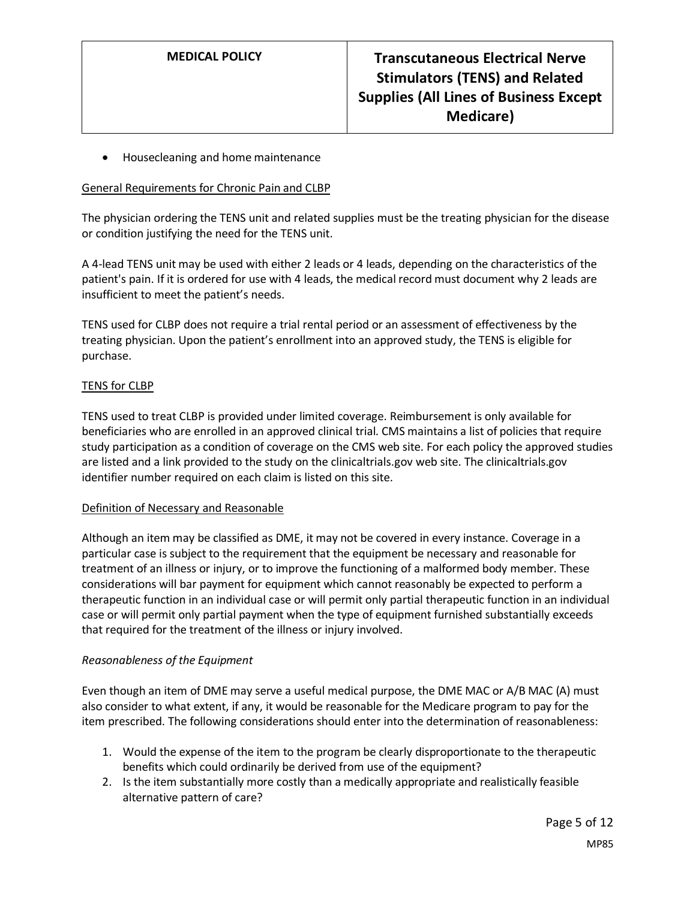• Housecleaning and home maintenance

#### General Requirements for Chronic Pain and CLBP

The physician ordering the TENS unit and related supplies must be the treating physician for the disease or condition justifying the need for the TENS unit.

A 4-lead TENS unit may be used with either 2 leads or 4 leads, depending on the characteristics of the patient's pain. If it is ordered for use with 4 leads, the medical record must document why 2 leads are insufficient to meet the patient's needs.

TENS used for CLBP does not require a trial rental period or an assessment of effectiveness by the treating physician. Upon the patient's enrollment into an approved study, the TENS is eligible for purchase.

#### TENS for CLBP

TENS used to treat CLBP is provided under limited coverage. Reimbursement is only available for beneficiaries who are enrolled in an approved clinical trial. CMS maintains a list of policies that require study participation as a condition of coverage on the CMS web site. For each policy the approved studies are listed and a link provided to the study on the clinicaltrials.gov web site. The clinicaltrials.gov identifier number required on each claim is listed on this site.

#### Definition of Necessary and Reasonable

Although an item may be classified as DME, it may not be covered in every instance. Coverage in a particular case is subject to the requirement that the equipment be necessary and reasonable for treatment of an illness or injury, or to improve the functioning of a malformed body member. These considerations will bar payment for equipment which cannot reasonably be expected to perform a therapeutic function in an individual case or will permit only partial therapeutic function in an individual case or will permit only partial payment when the type of equipment furnished substantially exceeds that required for the treatment of the illness or injury involved.

#### *Reasonableness of the Equipment*

Even though an item of DME may serve a useful medical purpose, the DME MAC or A/B MAC (A) must also consider to what extent, if any, it would be reasonable for the Medicare program to pay for the item prescribed. The following considerations should enter into the determination of reasonableness:

- 1. Would the expense of the item to the program be clearly disproportionate to the therapeutic benefits which could ordinarily be derived from use of the equipment?
- 2. Is the item substantially more costly than a medically appropriate and realistically feasible alternative pattern of care?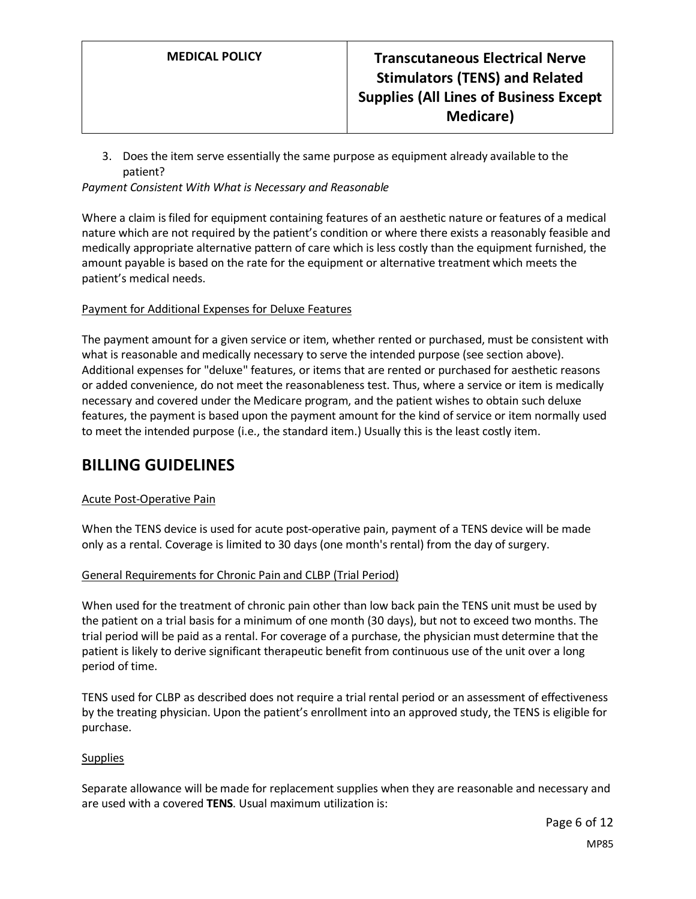3. Does the item serve essentially the same purpose as equipment already available to the patient?

*Payment Consistent With What is Necessary and Reasonable*

Where a claim is filed for equipment containing features of an aesthetic nature or features of a medical nature which are not required by the patient's condition or where there exists a reasonably feasible and medically appropriate alternative pattern of care which is less costly than the equipment furnished, the amount payable is based on the rate for the equipment or alternative treatment which meets the patient's medical needs.

#### Payment for Additional Expenses for Deluxe Features

The payment amount for a given service or item, whether rented or purchased, must be consistent with what is reasonable and medically necessary to serve the intended purpose (see section above). Additional expenses for "deluxe" features, or items that are rented or purchased for aesthetic reasons or added convenience, do not meet the reasonableness test. Thus, where a service or item is medically necessary and covered under the Medicare program, and the patient wishes to obtain such deluxe features, the payment is based upon the payment amount for the kind of service or item normally used to meet the intended purpose (i.e., the standard item.) Usually this is the least costly item.

## **BILLING GUIDELINES**

### Acute Post-Operative Pain

When the TENS device is used for acute post-operative pain, payment of a TENS device will be made only as a rental. Coverage is limited to 30 days (one month's rental) from the day of surgery.

### <span id="page-5-0"></span>General Requirements for Chronic Pain and CLBP (Trial Period)

When used for the treatment of chronic pain other than low back pain the TENS unit must be used by the patient on a trial basis for a minimum of one month (30 days), but not to exceed two months. The trial period will be paid as a rental. For coverage of a purchase, the physician must determine that the patient is likely to derive significant therapeutic benefit from continuous use of the unit over a long period of time.

TENS used for CLBP as described does not require a trial rental period or an assessment of effectiveness by the treating physician. Upon the patient's enrollment into an approved study, the TENS is eligible for purchase.

#### **Supplies**

Separate allowance will be made for replacement supplies when they are reasonable and necessary and are used with a covered **TENS**. Usual maximum utilization is: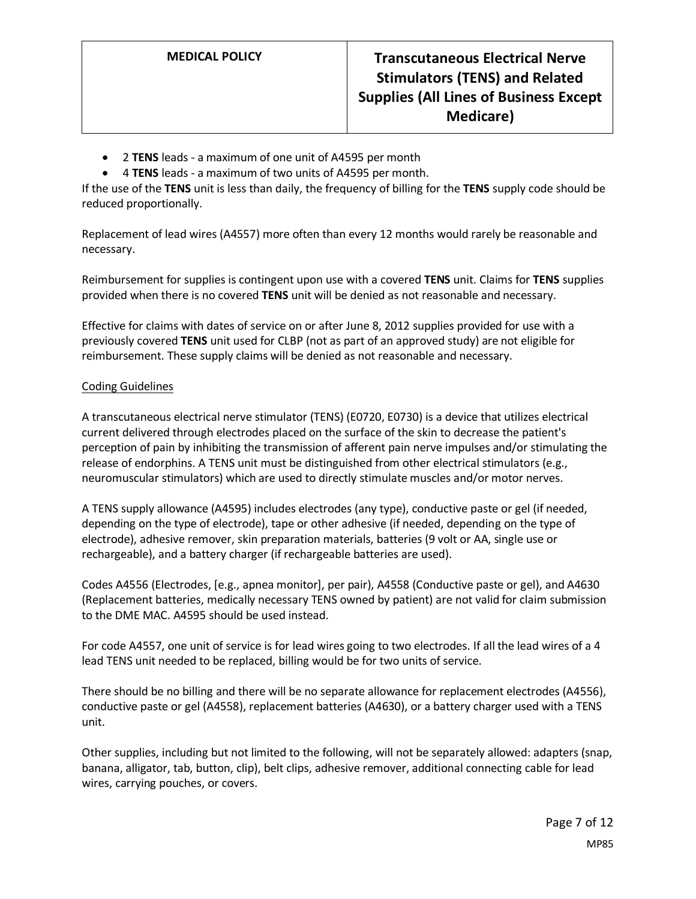- 2 **TENS** leads a maximum of one unit of A4595 per month
- 4 **TENS** leads a maximum of two units of A4595 per month.

If the use of the **TENS** unit is less than daily, the frequency of billing for the **TENS** supply code should be reduced proportionally.

Replacement of lead wires (A4557) more often than every 12 months would rarely be reasonable and necessary.

Reimbursement for supplies is contingent upon use with a covered **TENS** unit. Claims for **TENS** supplies provided when there is no covered **TENS** unit will be denied as not reasonable and necessary.

Effective for claims with dates of service on or after June 8, 2012 supplies provided for use with a previously covered **TENS** unit used for CLBP (not as part of an approved study) are not eligible for reimbursement. These supply claims will be denied as not reasonable and necessary.

#### Coding Guidelines

A transcutaneous electrical nerve stimulator (TENS) (E0720, E0730) is a device that utilizes electrical current delivered through electrodes placed on the surface of the skin to decrease the patient's perception of pain by inhibiting the transmission of afferent pain nerve impulses and/or stimulating the release of endorphins. A TENS unit must be distinguished from other electrical stimulators (e.g., neuromuscular stimulators) which are used to directly stimulate muscles and/or motor nerves.

A TENS supply allowance (A4595) includes electrodes (any type), conductive paste or gel (if needed, depending on the type of electrode), tape or other adhesive (if needed, depending on the type of electrode), adhesive remover, skin preparation materials, batteries (9 volt or AA, single use or rechargeable), and a battery charger (if rechargeable batteries are used).

Codes A4556 (Electrodes, [e.g., apnea monitor], per pair), A4558 (Conductive paste or gel), and A4630 (Replacement batteries, medically necessary TENS owned by patient) are not valid for claim submission to the DME MAC. A4595 should be used instead.

For code A4557, one unit of service is for lead wires going to two electrodes. If all the lead wires of a 4 lead TENS unit needed to be replaced, billing would be for two units of service.

There should be no billing and there will be no separate allowance for replacement electrodes (A4556), conductive paste or gel (A4558), replacement batteries (A4630), or a battery charger used with a TENS unit.

Other supplies, including but not limited to the following, will not be separately allowed: adapters (snap, banana, alligator, tab, button, clip), belt clips, adhesive remover, additional connecting cable for lead wires, carrying pouches, or covers.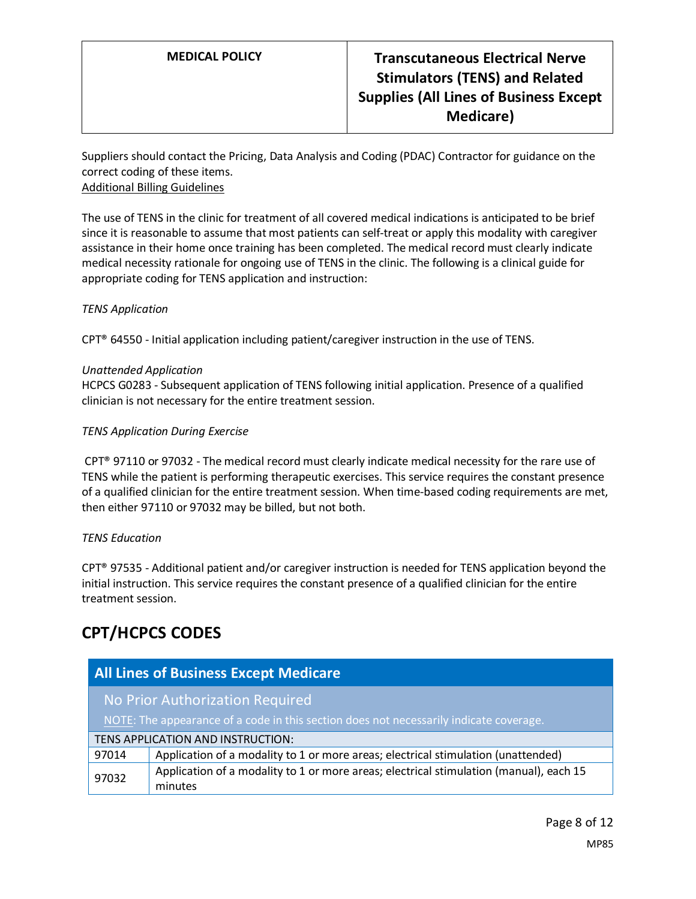Suppliers should contact the Pricing, Data Analysis and Coding (PDAC) Contractor for guidance on the correct coding of these items. Additional Billing Guidelines

The use of TENS in the clinic for treatment of all covered medical indications is anticipated to be brief since it is reasonable to assume that most patients can self-treat or apply this modality with caregiver assistance in their home once training has been completed. The medical record must clearly indicate medical necessity rationale for ongoing use of TENS in the clinic. The following is a clinical guide for appropriate coding for TENS application and instruction:

### *TENS Application*

CPT® 64550 - Initial application including patient/caregiver instruction in the use of TENS.

#### *Unattended Application*

HCPCS G0283 - Subsequent application of TENS following initial application. Presence of a qualified clinician is not necessary for the entire treatment session.

#### *TENS Application During Exercise*

CPT® 97110 or 97032 - The medical record must clearly indicate medical necessity for the rare use of TENS while the patient is performing therapeutic exercises. This service requires the constant presence of a qualified clinician for the entire treatment session. When time-based coding requirements are met, then either 97110 or 97032 may be billed, but not both.

#### *TENS Education*

CPT® 97535 - Additional patient and/or caregiver instruction is needed for TENS application beyond the initial instruction. This service requires the constant presence of a qualified clinician for the entire treatment session.

# **CPT/HCPCS CODES**

| <b>All Lines of Business Except Medicare</b>                                           |                                                                                        |  |
|----------------------------------------------------------------------------------------|----------------------------------------------------------------------------------------|--|
| No Prior Authorization Required                                                        |                                                                                        |  |
| NOTE: The appearance of a code in this section does not necessarily indicate coverage. |                                                                                        |  |
| TENS APPLICATION AND INSTRUCTION:                                                      |                                                                                        |  |
| 97014                                                                                  | Application of a modality to 1 or more areas; electrical stimulation (unattended)      |  |
| 97032                                                                                  | Application of a modality to 1 or more areas; electrical stimulation (manual), each 15 |  |
|                                                                                        | minutes                                                                                |  |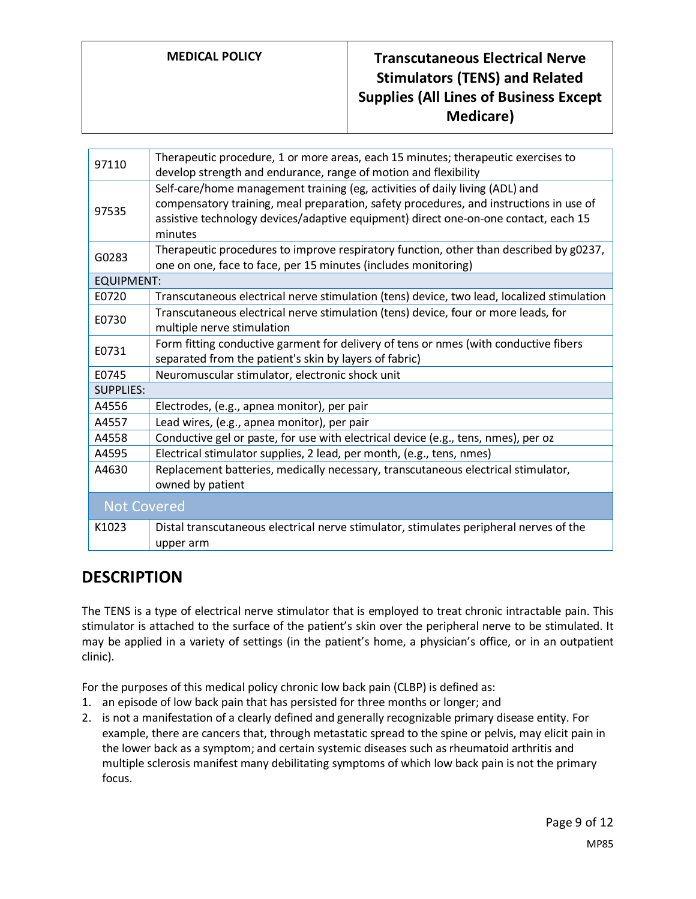# **MEDICAL POLICY Transcutaneous Electrical Nerve Stimulators (TENS) and Related Supplies (All Lines of Business Except Medicare)**

| 97110              | Therapeutic procedure, 1 or more areas, each 15 minutes; therapeutic exercises to<br>develop strength and endurance, range of motion and flexibility                                                                                                                     |
|--------------------|--------------------------------------------------------------------------------------------------------------------------------------------------------------------------------------------------------------------------------------------------------------------------|
| 97535              | Self-care/home management training (eg, activities of daily living (ADL) and<br>compensatory training, meal preparation, safety procedures, and instructions in use of<br>assistive technology devices/adaptive equipment) direct one-on-one contact, each 15<br>minutes |
| G0283              | Therapeutic procedures to improve respiratory function, other than described by g0237,<br>one on one, face to face, per 15 minutes (includes monitoring)                                                                                                                 |
| <b>EQUIPMENT:</b>  |                                                                                                                                                                                                                                                                          |
| E0720              | Transcutaneous electrical nerve stimulation (tens) device, two lead, localized stimulation                                                                                                                                                                               |
| E0730              | Transcutaneous electrical nerve stimulation (tens) device, four or more leads, for<br>multiple nerve stimulation                                                                                                                                                         |
| E0731              | Form fitting conductive garment for delivery of tens or nmes (with conductive fibers<br>separated from the patient's skin by layers of fabric)                                                                                                                           |
| E0745              | Neuromuscular stimulator, electronic shock unit                                                                                                                                                                                                                          |
| <b>SUPPLIES:</b>   |                                                                                                                                                                                                                                                                          |
| A4556              | Electrodes, (e.g., apnea monitor), per pair                                                                                                                                                                                                                              |
| A4557              | Lead wires, (e.g., apnea monitor), per pair                                                                                                                                                                                                                              |
| A4558              | Conductive gel or paste, for use with electrical device (e.g., tens, nmes), per oz                                                                                                                                                                                       |
| A4595              | Electrical stimulator supplies, 2 lead, per month, (e.g., tens, nmes)                                                                                                                                                                                                    |
| A4630              | Replacement batteries, medically necessary, transcutaneous electrical stimulator,<br>owned by patient                                                                                                                                                                    |
| <b>Not Covered</b> |                                                                                                                                                                                                                                                                          |
| K1023              | Distal transcutaneous electrical nerve stimulator, stimulates peripheral nerves of the<br>upper arm                                                                                                                                                                      |

## **DESCRIPTION**

The TENS is a type of electrical nerve stimulator that is employed to treat chronic intractable pain. This stimulator is attached to the surface of the patient's skin over the peripheral nerve to be stimulated. It may be applied in a variety of settings (in the patient's home, a physician's office, or in an outpatient clinic).

For the purposes of this medical policy chronic low back pain (CLBP) is defined as:

- 1. an episode of low back pain that has persisted for three months or longer; and
- 2. is not a manifestation of a clearly defined and generally recognizable primary disease entity. For example, there are cancers that, through metastatic spread to the spine or pelvis, may elicit pain in the lower back as a symptom; and certain systemic diseases such as rheumatoid arthritis and multiple sclerosis manifest many debilitating symptoms of which low back pain is not the primary focus.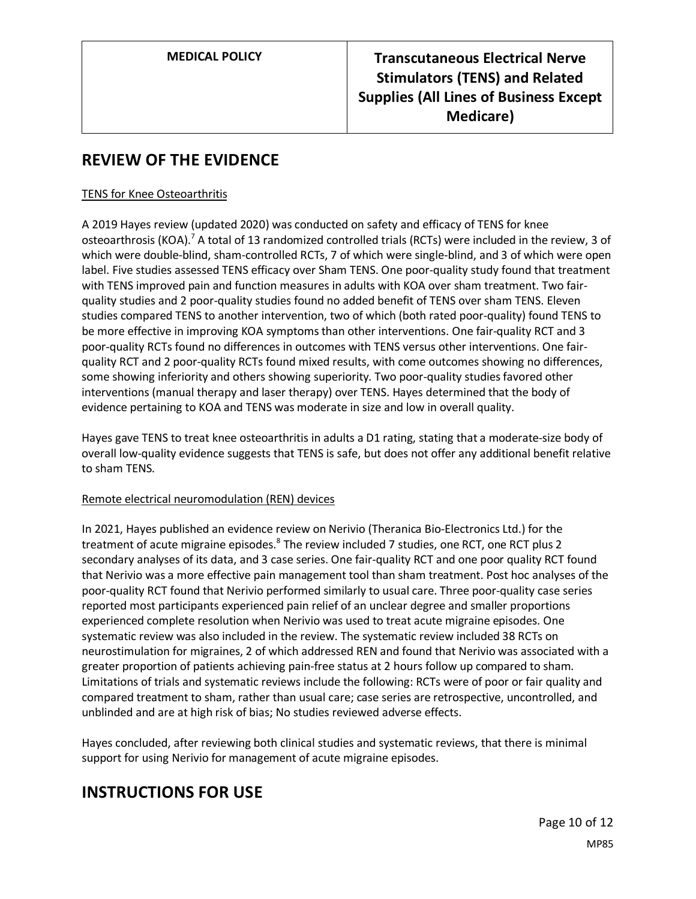# **REVIEW OF THE EVIDENCE**

### TENS for Knee Osteoarthritis

A 2019 Hayes review (updated 2020) was conducted on safety and efficacy of TENS for knee osteoarthrosis (KOA).<sup>7</sup> A total of 13 randomized controlled trials (RCTs) were included in the review, 3 of which were double-blind, sham-controlled RCTs, 7 of which were single-blind, and 3 of which were open label. Five studies assessed TENS efficacy over Sham TENS. One poor-quality study found that treatment with TENS improved pain and function measures in adults with KOA over sham treatment. Two fairquality studies and 2 poor-quality studies found no added benefit of TENS over sham TENS. Eleven studies compared TENS to another intervention, two of which (both rated poor-quality) found TENS to be more effective in improving KOA symptoms than other interventions. One fair-quality RCT and 3 poor-quality RCTs found no differences in outcomes with TENS versus other interventions. One fairquality RCT and 2 poor-quality RCTs found mixed results, with come outcomes showing no differences, some showing inferiority and others showing superiority. Two poor-quality studies favored other interventions (manual therapy and laser therapy) over TENS. Hayes determined that the body of evidence pertaining to KOA and TENS was moderate in size and low in overall quality.

Hayes gave TENS to treat knee osteoarthritis in adults a D1 rating, stating that a moderate-size body of overall low-quality evidence suggests that TENS is safe, but does not offer any additional benefit relative to sham TENS.

### Remote electrical neuromodulation (REN) devices

In 2021, Hayes published an evidence review on Nerivio (Theranica Bio-Electronics Ltd.) for the treatment of acute migraine episodes.<sup>8</sup> The review included 7 studies, one RCT, one RCT plus 2 secondary analyses of its data, and 3 case series. One fair-quality RCT and one poor quality RCT found that Nerivio was a more effective pain management tool than sham treatment. Post hoc analyses of the poor-quality RCT found that Nerivio performed similarly to usual care. Three poor-quality case series reported most participants experienced pain relief of an unclear degree and smaller proportions experienced complete resolution when Nerivio was used to treat acute migraine episodes. One systematic review was also included in the review. The systematic review included 38 RCTs on neurostimulation for migraines, 2 of which addressed REN and found that Nerivio was associated with a greater proportion of patients achieving pain-free status at 2 hours follow up compared to sham. Limitations of trials and systematic reviews include the following: RCTs were of poor or fair quality and compared treatment to sham, rather than usual care; case series are retrospective, uncontrolled, and unblinded and are at high risk of bias; No studies reviewed adverse effects.

Hayes concluded, after reviewing both clinical studies and systematic reviews, that there is minimal support for using Nerivio for management of acute migraine episodes.

# **INSTRUCTIONS FOR USE**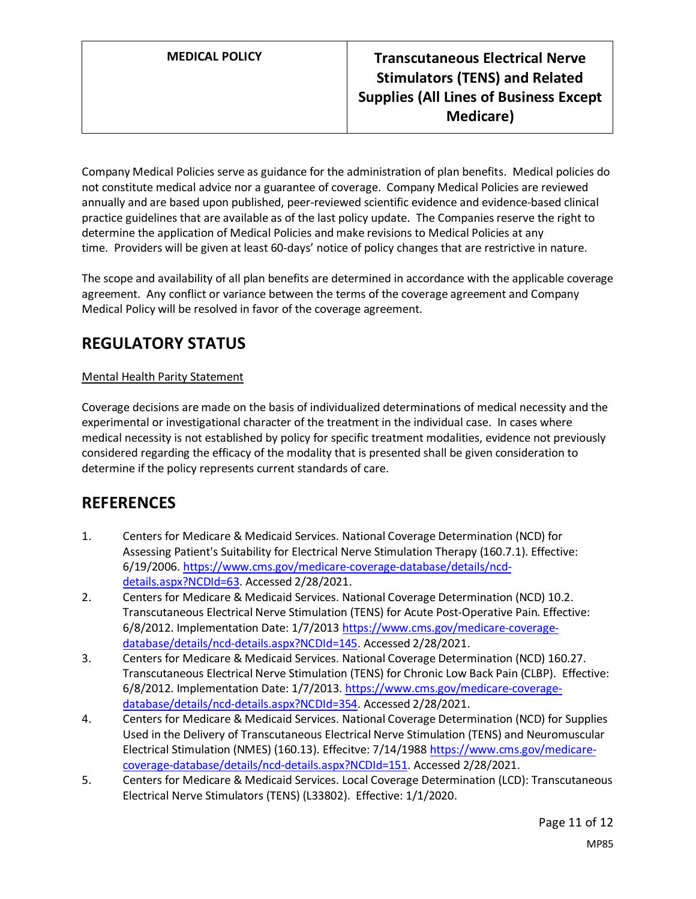Company Medical Policies serve as guidance for the administration of plan benefits. Medical policies do not constitute medical advice nor a guarantee of coverage. Company Medical Policies are reviewed annually and are based upon published, peer-reviewed scientific evidence and evidence-based clinical practice guidelines that are available as of the last policy update. The Companies reserve the right to determine the application of Medical Policies and make revisions to Medical Policies at any time. Providers will be given at least 60-days' notice of policy changes that are restrictive in nature.

The scope and availability of all plan benefits are determined in accordance with the applicable coverage agreement. Any conflict or variance between the terms of the coverage agreement and Company Medical Policy will be resolved in favor of the coverage agreement.

# **REGULATORY STATUS**

### Mental Health Parity Statement

Coverage decisions are made on the basis of individualized determinations of medical necessity and the experimental or investigational character of the treatment in the individual case. In cases where medical necessity is not established by policy for specific treatment modalities, evidence not previously considered regarding the efficacy of the modality that is presented shall be given consideration to determine if the policy represents current standards of care.

## **REFERENCES**

- 1. Centers for Medicare & Medicaid Services. National Coverage Determination (NCD) for Assessing Patient's Suitability for Electrical Nerve Stimulation Therapy (160.7.1). Effective: 6/19/2006. [https://www.cms.gov/medicare-coverage-database/details/ncd](https://www.cms.gov/medicare-coverage-database/details/ncd-details.aspx?NCDId=63)[details.aspx?NCDId=63.](https://www.cms.gov/medicare-coverage-database/details/ncd-details.aspx?NCDId=63) Accessed 2/28/2021.
- 2. Centers for Medicare & Medicaid Services. National Coverage Determination (NCD) 10.2. Transcutaneous Electrical Nerve Stimulation (TENS) for Acute Post-Operative Pain. Effective: 6/8/2012. Implementation Date: 1/7/2013 [https://www.cms.gov/medicare-coverage](https://www.cms.gov/medicare-coverage-database/details/ncd-details.aspx?NCDId=145)[database/details/ncd-details.aspx?NCDId=145.](https://www.cms.gov/medicare-coverage-database/details/ncd-details.aspx?NCDId=145) Accessed 2/28/2021.
- 3. Centers for Medicare & Medicaid Services. National Coverage Determination (NCD) 160.27. Transcutaneous Electrical Nerve Stimulation (TENS) for Chronic Low Back Pain (CLBP). Effective: 6/8/2012. Implementation Date: 1/7/2013[. https://www.cms.gov/medicare-coverage](https://www.cms.gov/medicare-coverage-database/details/ncd-details.aspx?NCDId=354)[database/details/ncd-details.aspx?NCDId=354.](https://www.cms.gov/medicare-coverage-database/details/ncd-details.aspx?NCDId=354) Accessed 2/28/2021.
- 4. Centers for Medicare & Medicaid Services. National Coverage Determination (NCD) for Supplies Used in the Delivery of Transcutaneous Electrical Nerve Stimulation (TENS) and Neuromuscular Electrical Stimulation (NMES) (160.13). Effecitve: 7/14/1988 [https://www.cms.gov/medicare](https://www.cms.gov/medicare-coverage-database/details/ncd-details.aspx?NCDId=151)[coverage-database/details/ncd-details.aspx?NCDId=151.](https://www.cms.gov/medicare-coverage-database/details/ncd-details.aspx?NCDId=151) Accessed 2/28/2021.
- 5. Centers for Medicare & Medicaid Services. Local Coverage Determination (LCD): Transcutaneous Electrical Nerve Stimulators (TENS) (L33802). Effective: 1/1/2020.